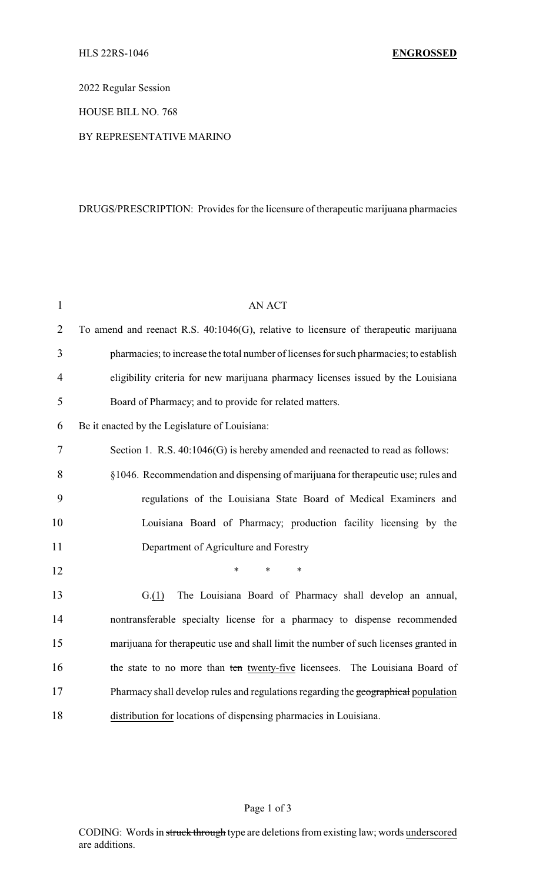2022 Regular Session

HOUSE BILL NO. 768

BY REPRESENTATIVE MARINO

## DRUGS/PRESCRIPTION: Provides for the licensure of therapeutic marijuana pharmacies

| $\mathbf{1}$ | <b>AN ACT</b>                                                                          |
|--------------|----------------------------------------------------------------------------------------|
| 2            | To amend and reenact R.S. 40:1046(G), relative to licensure of therapeutic marijuana   |
| 3            | pharmacies; to increase the total number of licenses for such pharmacies; to establish |
| 4            | eligibility criteria for new marijuana pharmacy licenses issued by the Louisiana       |
| 5            | Board of Pharmacy; and to provide for related matters.                                 |
| 6            | Be it enacted by the Legislature of Louisiana:                                         |
| 7            | Section 1. R.S. 40:1046(G) is hereby amended and reenacted to read as follows:         |
| 8            | §1046. Recommendation and dispensing of marijuana for therapeutic use; rules and       |
| 9            | regulations of the Louisiana State Board of Medical Examiners and                      |
| 10           | Louisiana Board of Pharmacy; production facility licensing by the                      |
| 11           | Department of Agriculture and Forestry                                                 |
| 12           | $\ast$<br>$\ast$<br>$\ast$                                                             |
| 13           | The Louisiana Board of Pharmacy shall develop an annual,<br>G(1)                       |
| 14           | nontransferable specialty license for a pharmacy to dispense recommended               |
| 15           | marijuana for therapeutic use and shall limit the number of such licenses granted in   |
| 16           | the state to no more than ten twenty-five licensees. The Louisiana Board of            |
| 17           | Pharmacy shall develop rules and regulations regarding the geographical population     |
| 18           | distribution for locations of dispensing pharmacies in Louisiana.                      |

## Page 1 of 3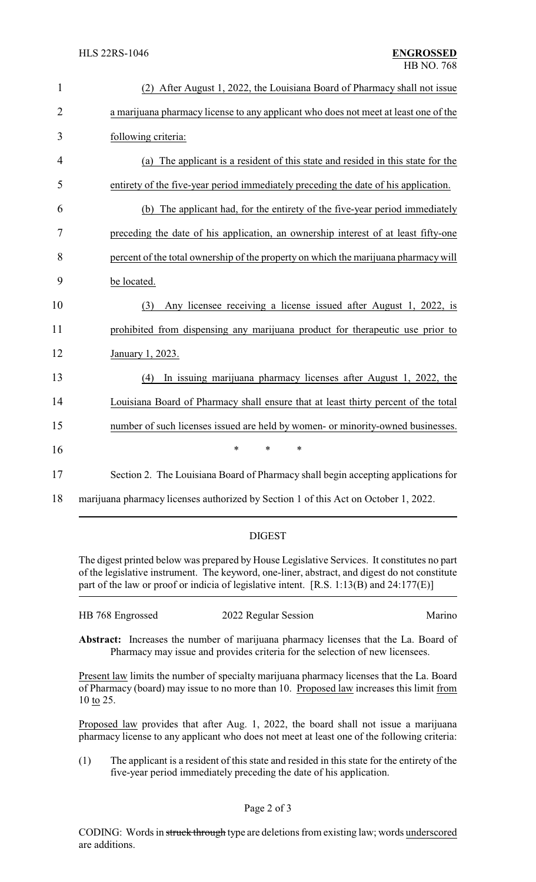| $\mathbf{1}$   | (2) After August 1, 2022, the Louisiana Board of Pharmacy shall not issue           |
|----------------|-------------------------------------------------------------------------------------|
| $\overline{2}$ | a marijuana pharmacy license to any applicant who does not meet at least one of the |
| 3              | following criteria:                                                                 |
| 4              | (a) The applicant is a resident of this state and resided in this state for the     |
| 5              | entirety of the five-year period immediately preceding the date of his application. |
| 6              | (b) The applicant had, for the entirety of the five-year period immediately         |
| $\overline{7}$ | preceding the date of his application, an ownership interest of at least fifty-one  |
| 8              | percent of the total ownership of the property on which the marijuana pharmacy will |
| 9              | be located.                                                                         |
| 10             | Any licensee receiving a license issued after August 1, 2022, is<br>(3)             |
| 11             | prohibited from dispensing any marijuana product for the rapeutic use prior to      |
| 12             | January 1, 2023.                                                                    |
| 13             | In issuing marijuana pharmacy licenses after August 1, 2022, the<br>(4)             |
| 14             | Louisiana Board of Pharmacy shall ensure that at least thirty percent of the total  |
| 15             | number of such licenses issued are held by women- or minority-owned businesses.     |
| 16             | *<br>$\ast$<br>∗                                                                    |
| 17             | Section 2. The Louisiana Board of Pharmacy shall begin accepting applications for   |
| 18             | marijuana pharmacy licenses authorized by Section 1 of this Act on October 1, 2022. |

## DIGEST

The digest printed below was prepared by House Legislative Services. It constitutes no part of the legislative instrument. The keyword, one-liner, abstract, and digest do not constitute part of the law or proof or indicia of legislative intent. [R.S. 1:13(B) and 24:177(E)]

| HB 768 Engrossed | 2022 Regular Session | Marino |
|------------------|----------------------|--------|
|                  |                      |        |

**Abstract:** Increases the number of marijuana pharmacy licenses that the La. Board of Pharmacy may issue and provides criteria for the selection of new licensees.

Present law limits the number of specialty marijuana pharmacy licenses that the La. Board of Pharmacy (board) may issue to no more than 10. Proposed law increases this limit from 10 to 25.

Proposed law provides that after Aug. 1, 2022, the board shall not issue a marijuana pharmacy license to any applicant who does not meet at least one of the following criteria:

(1) The applicant is a resident of this state and resided in this state for the entirety of the five-year period immediately preceding the date of his application.